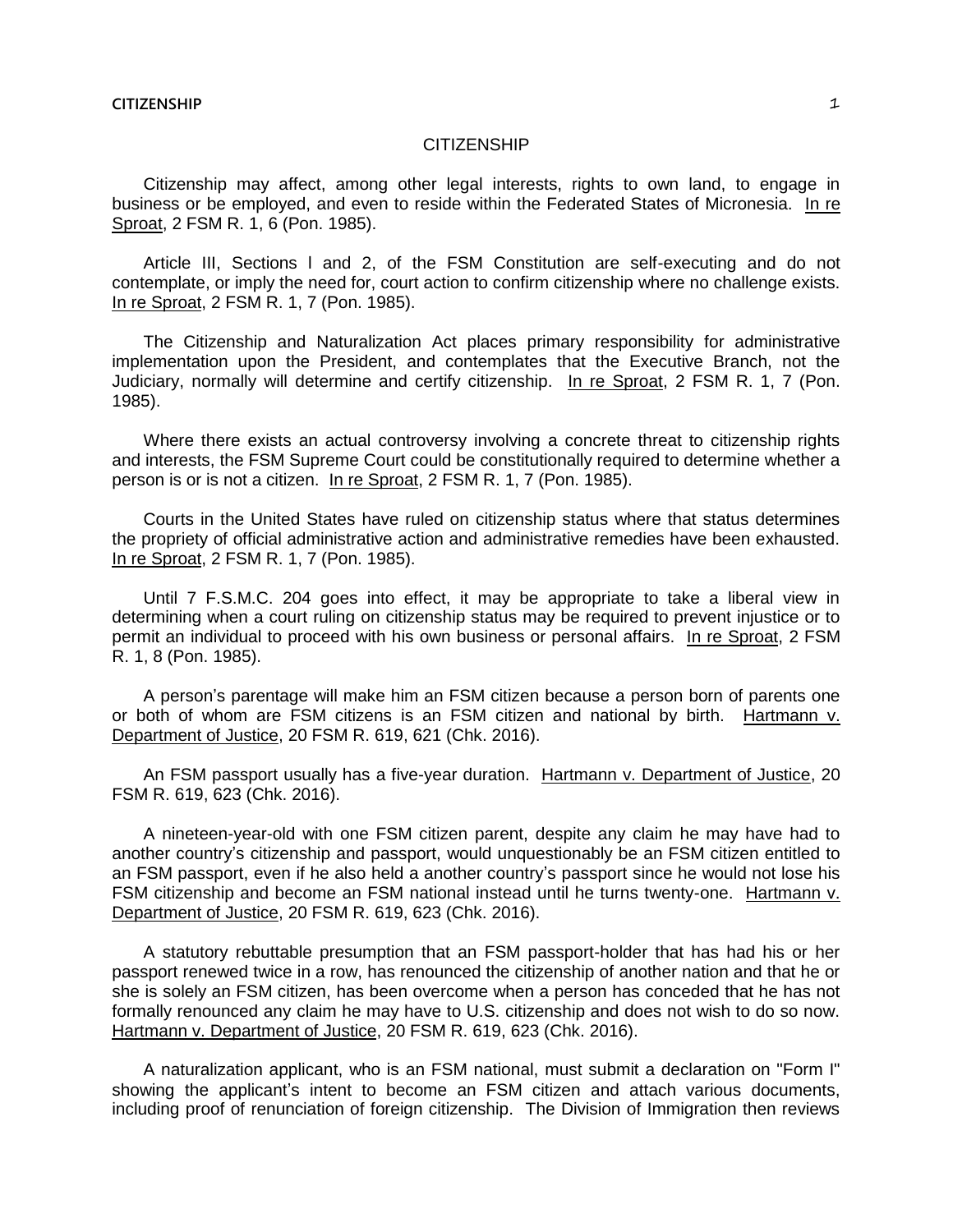## **CITIZENSHIP**

Citizenship may affect, among other legal interests, rights to own land, to engage in business or be employed, and even to reside within the Federated States of Micronesia. In re Sproat, 2 FSM R. 1, 6 (Pon. 1985).

Article III, Sections l and 2, of the FSM Constitution are self-executing and do not contemplate, or imply the need for, court action to confirm citizenship where no challenge exists. In re Sproat, 2 FSM R. 1, 7 (Pon. 1985).

The Citizenship and Naturalization Act places primary responsibility for administrative implementation upon the President, and contemplates that the Executive Branch, not the Judiciary, normally will determine and certify citizenship. In re Sproat, 2 FSM R. 1, 7 (Pon. 1985).

Where there exists an actual controversy involving a concrete threat to citizenship rights and interests, the FSM Supreme Court could be constitutionally required to determine whether a person is or is not a citizen. In re Sproat, 2 FSM R. 1, 7 (Pon. 1985).

Courts in the United States have ruled on citizenship status where that status determines the propriety of official administrative action and administrative remedies have been exhausted. In re Sproat, 2 FSM R. 1, 7 (Pon. 1985).

Until 7 F.S.M.C. 204 goes into effect, it may be appropriate to take a liberal view in determining when a court ruling on citizenship status may be required to prevent injustice or to permit an individual to proceed with his own business or personal affairs. In re Sproat, 2 FSM R. 1, 8 (Pon. 1985).

A person's parentage will make him an FSM citizen because a person born of parents one or both of whom are FSM citizens is an FSM citizen and national by birth. Hartmann v. Department of Justice, 20 FSM R. 619, 621 (Chk. 2016).

An FSM passport usually has a five-year duration. Hartmann v. Department of Justice, 20 FSM R. 619, 623 (Chk. 2016).

A nineteen-year-old with one FSM citizen parent, despite any claim he may have had to another country's citizenship and passport, would unquestionably be an FSM citizen entitled to an FSM passport, even if he also held a another country's passport since he would not lose his FSM citizenship and become an FSM national instead until he turns twenty-one. Hartmann v. Department of Justice, 20 FSM R. 619, 623 (Chk. 2016).

A statutory rebuttable presumption that an FSM passport-holder that has had his or her passport renewed twice in a row, has renounced the citizenship of another nation and that he or she is solely an FSM citizen, has been overcome when a person has conceded that he has not formally renounced any claim he may have to U.S. citizenship and does not wish to do so now. Hartmann v. Department of Justice, 20 FSM R. 619, 623 (Chk. 2016).

A naturalization applicant, who is an FSM national, must submit a declaration on "Form I" showing the applicant's intent to become an FSM citizen and attach various documents, including proof of renunciation of foreign citizenship. The Division of Immigration then reviews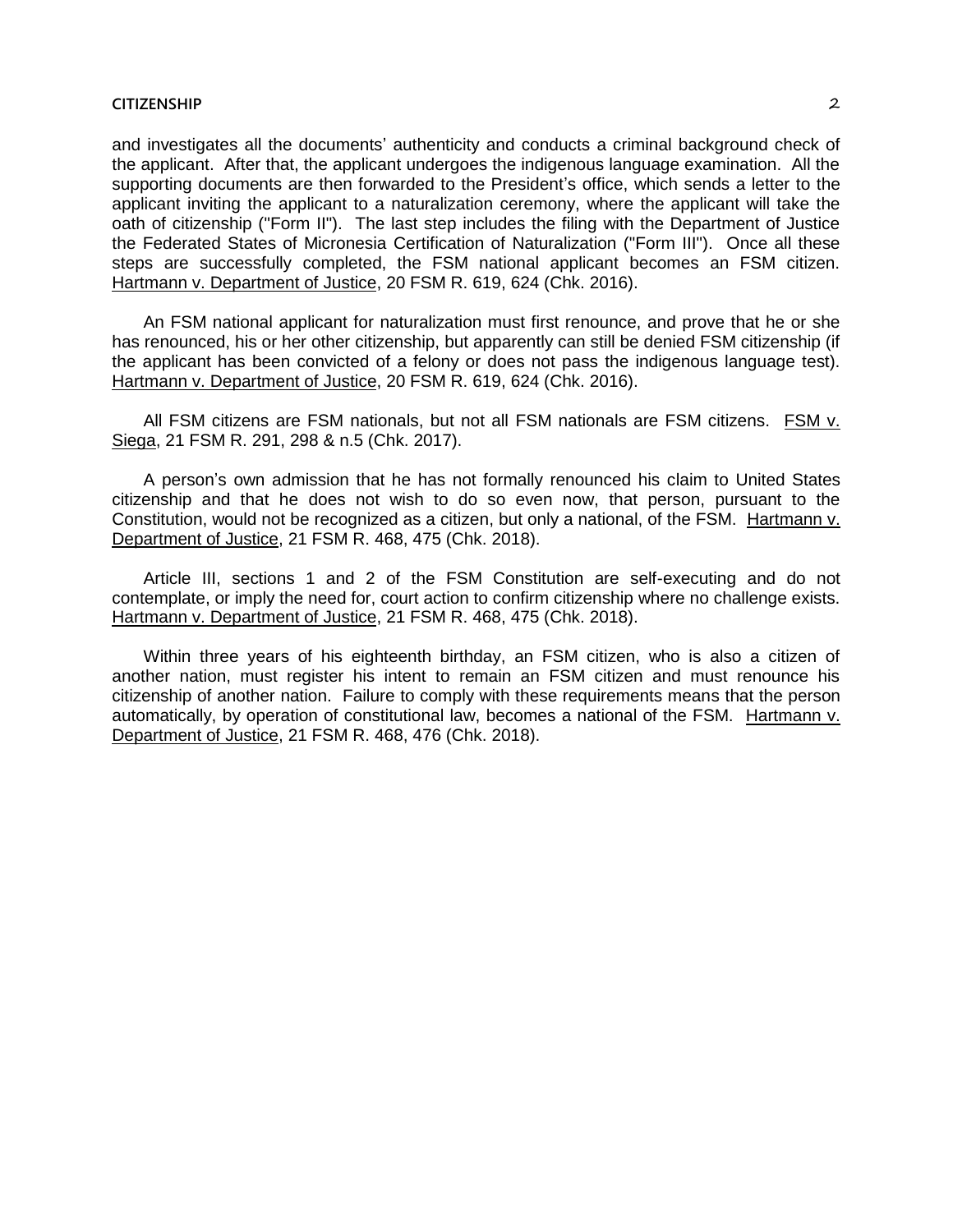## **CITIZENSHIP** 2

and investigates all the documents' authenticity and conducts a criminal background check of the applicant. After that, the applicant undergoes the indigenous language examination. All the supporting documents are then forwarded to the President's office, which sends a letter to the applicant inviting the applicant to a naturalization ceremony, where the applicant will take the oath of citizenship ("Form II"). The last step includes the filing with the Department of Justice the Federated States of Micronesia Certification of Naturalization ("Form III"). Once all these steps are successfully completed, the FSM national applicant becomes an FSM citizen. Hartmann v. Department of Justice, 20 FSM R. 619, 624 (Chk. 2016).

An FSM national applicant for naturalization must first renounce, and prove that he or she has renounced, his or her other citizenship, but apparently can still be denied FSM citizenship (if the applicant has been convicted of a felony or does not pass the indigenous language test). Hartmann v. Department of Justice, 20 FSM R. 619, 624 (Chk. 2016).

All FSM citizens are FSM nationals, but not all FSM nationals are FSM citizens. FSM v. Siega, 21 FSM R. 291, 298 & n.5 (Chk. 2017).

A person's own admission that he has not formally renounced his claim to United States citizenship and that he does not wish to do so even now, that person, pursuant to the Constitution, would not be recognized as a citizen, but only a national, of the FSM. Hartmann v. Department of Justice, 21 FSM R. 468, 475 (Chk. 2018).

Article III, sections 1 and 2 of the FSM Constitution are self-executing and do not contemplate, or imply the need for, court action to confirm citizenship where no challenge exists. Hartmann v. Department of Justice, 21 FSM R. 468, 475 (Chk. 2018).

Within three years of his eighteenth birthday, an FSM citizen, who is also a citizen of another nation, must register his intent to remain an FSM citizen and must renounce his citizenship of another nation. Failure to comply with these requirements means that the person automatically, by operation of constitutional law, becomes a national of the FSM. Hartmann v. Department of Justice, 21 FSM R. 468, 476 (Chk. 2018).